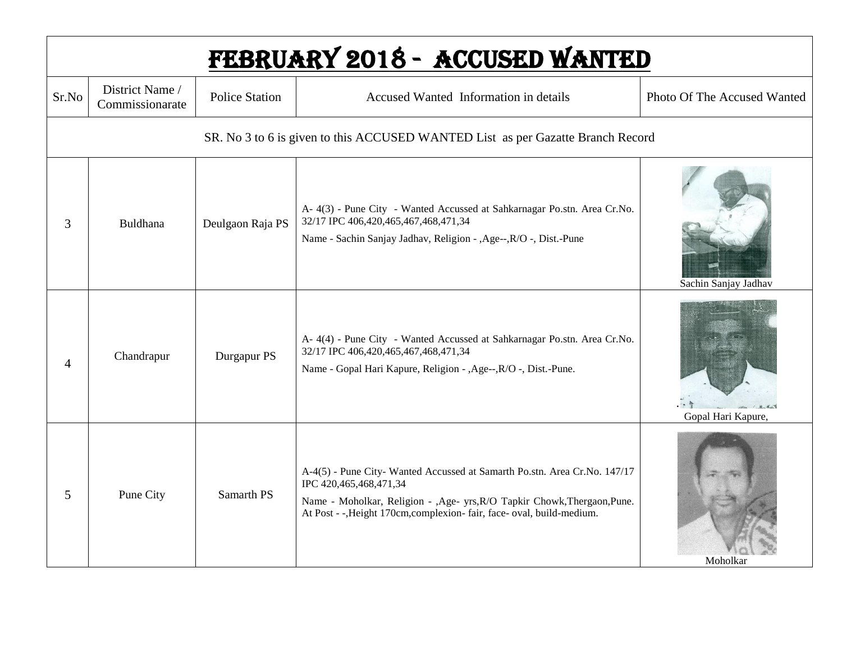| FEBRUARY 2018 - ACCUSED WANTED                                                  |                                    |                       |                                                                                                                                                                                                                                                             |                             |  |  |  |  |
|---------------------------------------------------------------------------------|------------------------------------|-----------------------|-------------------------------------------------------------------------------------------------------------------------------------------------------------------------------------------------------------------------------------------------------------|-----------------------------|--|--|--|--|
| Sr.No                                                                           | District Name /<br>Commissionarate | <b>Police Station</b> | Accused Wanted Information in details                                                                                                                                                                                                                       | Photo Of The Accused Wanted |  |  |  |  |
| SR. No 3 to 6 is given to this ACCUSED WANTED List as per Gazatte Branch Record |                                    |                       |                                                                                                                                                                                                                                                             |                             |  |  |  |  |
| 3                                                                               | Buldhana                           | Deulgaon Raja PS      | A-4(3) - Pune City - Wanted Accussed at Sahkarnagar Po.stn. Area Cr.No.<br>32/17 IPC 406,420,465,467,468,471,34<br>Name - Sachin Sanjay Jadhav, Religion - , Age--, R/O -, Dist.-Pune                                                                       | Sachin Sanjay Jadhav        |  |  |  |  |
| 4                                                                               | Chandrapur                         | Durgapur PS           | A-4(4) - Pune City - Wanted Accussed at Sahkarnagar Po.stn. Area Cr.No.<br>32/17 IPC 406,420,465,467,468,471,34<br>Name - Gopal Hari Kapure, Religion - , Age--, R/O -, Dist.-Pune.                                                                         | Gopal Hari Kapure,          |  |  |  |  |
| 5                                                                               | Pune City                          | Samarth PS            | A-4(5) - Pune City- Wanted Accussed at Samarth Po.stn. Area Cr.No. 147/17<br>IPC 420, 465, 468, 471, 34<br>Name - Moholkar, Religion - ,Age- yrs, R/O Tapkir Chowk, Thergaon, Pune.<br>At Post - -, Height 170cm, complexion-fair, face-oval, build-medium. | Moholkar                    |  |  |  |  |